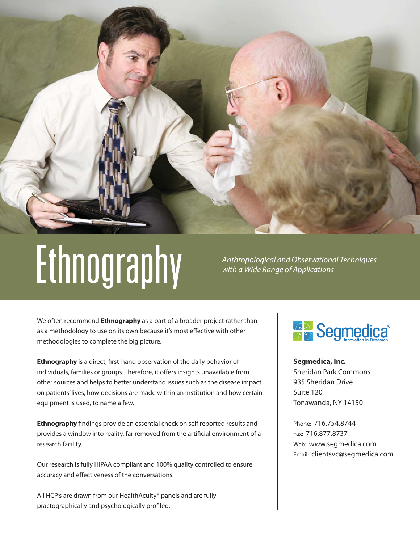

# Ethnography

*Anthropological and Observational Techniques with a Wide Range of Applications*

We often recommend **Ethnography** as a part of a broader project rather than as a methodology to use on its own because it's most effective with other methodologies to complete the big picture.

**Ethnography** is a direct, first-hand observation of the daily behavior of individuals, families or groups. Therefore, it offers insights unavailable from other sources and helps to better understand issues such as the disease impact on patients' lives, how decisions are made within an institution and how certain equipment is used, to name a few.

**Ethnography** findings provide an essential check on self reported results and provides a window into reality, far removed from the artificial environment of a research facility.

Our research is fully HIPAA compliant and 100% quality controlled to ensure accuracy and effectiveness of the conversations.

All HCP's are drawn from our HealthAcuity® panels and are fully practographically and psychologically profiled.

## **GR** Segmedica<sup>®</sup>

**Segmedica, Inc.** Sheridan Park Commons 935 Sheridan Drive Suite 120 Tonawanda, NY 14150

Phone: 716.754.8744 Fax: 716.877.8737 Web: www.segmedica.com Email: clientsvc@segmedica.com